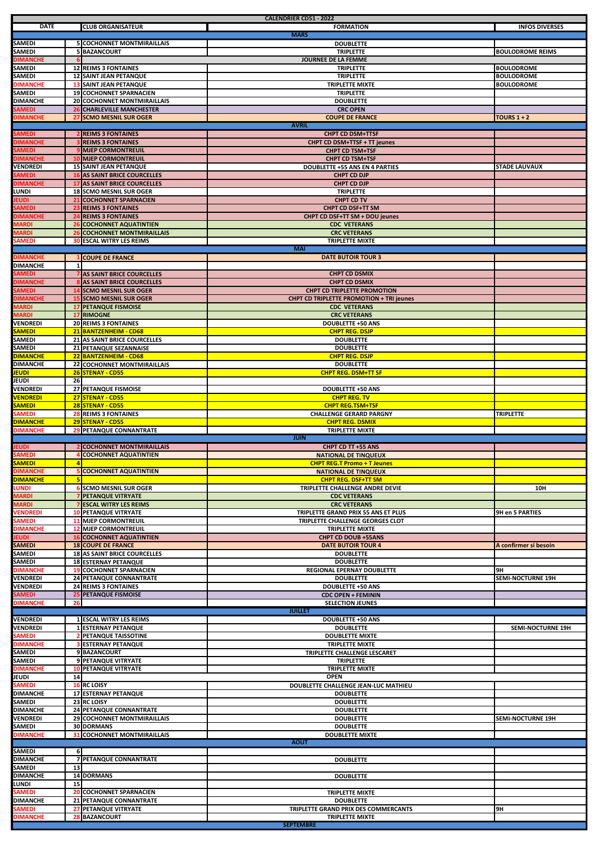|                                  |                |                                                                    | <b>CALENDRIER CD51 - 2022</b>                                   |                          |
|----------------------------------|----------------|--------------------------------------------------------------------|-----------------------------------------------------------------|--------------------------|
| <b>DATE</b>                      |                | <b>CLUB ORGANISATEUR</b>                                           | <b>FORMATION</b>                                                | <b>INFOS DIVERSES</b>    |
|                                  |                |                                                                    | <b>MARS</b>                                                     |                          |
| SAMEDI<br>SAMEDI                 |                | <b>5 COCHONNET MONTMIRAILLAIS</b><br><b>5 BAZANCOURT</b>           | <b>DOUBLETTE</b><br><b>TRIPLETTE</b>                            | <b>BOULODROME REIMS</b>  |
| <b>DIMANCHE</b>                  |                |                                                                    | <b>JOURNEE DE LA FEMME</b>                                      |                          |
| SAMEDI                           |                | <b>12 REIMS 3 FONTAINES</b>                                        | <b>TRIPLETTE</b>                                                | <b>BOULODROME</b>        |
| SAMEDI                           |                | <b>12 SAINT JEAN PETANQUE</b>                                      | <b>TRIPLETTE</b>                                                | <b>BOULODROME</b>        |
| <b>DIMANCHE</b>                  |                | <b>13 SAINT JEAN PETANQUE</b>                                      | <b>TRIPLETTE MIXTE</b>                                          | <b>BOULODROME</b>        |
| SAMEDI                           |                | <b>19 COCHONNET SPARNACIEN</b>                                     | <b>TRIPLETTE</b>                                                |                          |
| <b>DIMANCHE</b><br>SAMEDI        |                | 20 COCHONNET MONTMIRAILLAIS<br><b>26 CHARLEVILLE MANCHESTER</b>    | <b>DOUBLETTE</b><br><b>CRC OPEN</b>                             |                          |
| <b>DIMANCHE</b>                  |                | <b>SCMO MESNIL SUR OGER</b>                                        | <b>COUPE DE FRANCE</b>                                          | TOURS $1+2$              |
|                                  |                |                                                                    | <b>AVRIL</b>                                                    |                          |
| SAMEDI                           |                | <b>REIMS 3 FONTAINES</b>                                           | <b>CHPT CD DSM+TTSF</b>                                         |                          |
| DIMANCHE                         |                | <b>REIMS 3 FONTAINES</b>                                           | CHPT CD DSM+TTSF + TT jeunes                                    |                          |
| <b>SAMEDI</b>                    |                | <b>MJEP CORMONTREUIL</b>                                           | <b>CHPT CD TSM+TSF</b>                                          |                          |
| <b>DIMANCHE</b><br>VENDREDI      |                | <b>10 MJEP CORMONTREUIL</b><br><b>15 SAINT JEAN PETANQUE</b>       | <b>CHPT CD TSM+TSF</b><br><b>DOUBLETTE +55 ANS EN 4 PARTIES</b> |                          |
| SAMEDI                           |                | <b>16 AS SAINT BRICE COURCELLES</b>                                | <b>CHPT CD DJP</b>                                              | <b>STADE LAUVAUX</b>     |
| <b>DIMANCHE</b>                  |                | <b>17 AS SAINT BRICE COURCELLES</b>                                | <b>CHPT CD DJP</b>                                              |                          |
| LUNDI                            |                | <b>18 SCMO MESNIL SUR OGER</b>                                     | <b>TRIPLETTE</b>                                                |                          |
| <b>EUDI</b>                      |                | <b>COCHONNET SPARNACIEN</b>                                        | <b>CHPT CD TV</b>                                               |                          |
| SAMEDI                           |                | <b>REIMS 3 FONTAINES</b>                                           | <b>CHPT CD DSF+TT SM</b>                                        |                          |
| <b>DIMANCHE</b>                  |                | <b>REIMS 3 FONTAINES</b><br><b>COCHONNET AQUATINTIEN</b>           | CHPT CD DSF+TT SM + DOU jeunes                                  |                          |
| <b>MARDI</b><br><b>MARDI</b>     | 26             | <b>26 COCHONNET MONTMIRAILLAIS</b>                                 | <b>CDC VETERANS</b><br><b>CRC VETERANS</b>                      |                          |
| SAMEDI                           |                | <b>30 ESCAL WITRY LES REIMS</b>                                    | <b>TRIPLETTE MIXTE</b>                                          |                          |
|                                  |                |                                                                    | <b>MAI</b>                                                      |                          |
| <b>DIMANCHE</b>                  |                | <b>COUPE DE FRANCE</b>                                             | <b>DATE BUTOIR TOUR 3</b>                                       |                          |
| <b>DIMANCHE</b>                  | 1              |                                                                    |                                                                 |                          |
| <b>SAMEDI</b><br><b>DIMANCHE</b> |                | AS SAINT BRICE COURCELLES                                          | <b>CHPT CD DSMIX</b>                                            |                          |
| SAMEDI                           |                | AS SAINT BRICE COURCELLES<br><b>14 SCMO MESNIL SUR OGER</b>        | <b>CHPT CD DSMIX</b><br><b>CHPT CD TRIPLETTE PROMOTION</b>      |                          |
| <b>DIMANCHE</b>                  |                | <b>SCMO MESNIL SUR OGER</b>                                        | <b>CHPT CD TRIPLETTE PROMOTION + TRI jeunes</b>                 |                          |
| <b>MARDI</b>                     |                | <b>17 PETANQUE FISMOISE</b>                                        | <b>CDC VETERANS</b>                                             |                          |
| <b>MARDI</b>                     |                | <b>17 RIMOGNE</b>                                                  | <b>CRC VETERANS</b>                                             |                          |
| VENDREDI                         |                | <b>20 REIMS 3 FONTAINES</b>                                        | <b>DOUBLETTE +50 ANS</b>                                        |                          |
| <b>SAMEDI</b>                    |                | 21 BANTZENHEIM - CD68                                              | <b>CHPT REG. DSJP</b>                                           |                          |
| SAMEDI                           |                | 21 AS SAINT BRICE COURCELLES                                       | <b>DOUBLETTE</b>                                                |                          |
| SAMEDI<br><b>DIMANCHE</b>        |                | 21 PETANQUE SEZANNAISE<br>22 BANTZENHEIM - CD68                    | <b>DOUBLETTE</b><br><b>CHPT REG. DSJP</b>                       |                          |
| DIMANCHE                         |                | 22 COCHONNET MONTMIRAILLAIS                                        | <b>DOUBLETTE</b>                                                |                          |
| <b>JEUDI</b>                     |                | 26 STENAY - CD55                                                   | <b>CHPT REG. DSM+TT SF</b>                                      |                          |
| JEUDI                            | 26             |                                                                    |                                                                 |                          |
| VENDREDI                         |                | 27 PETANQUE FISMOISE                                               | <b>DOUBLETTE +50 ANS</b>                                        |                          |
| <b>VENDREDI</b>                  |                | 27 STENAY - CD55                                                   | <b>CHPT REG. TV</b>                                             |                          |
| <b>SAMEDI</b>                    |                | 28 STENAY - CD55                                                   | <b>CHPT REG.TSM+TSF</b>                                         |                          |
| SAMEDI<br><b>DIMANCHE</b>        |                | <b>28 REIMS 3 FONTAINES</b><br>29 STENAY - CD55                    | <b>CHALLENGE GERARD PARGNY</b><br><b>CHPT REG. DSMIX</b>        | <b>TRIPLETTE</b>         |
| <b>DIMANCHE</b>                  |                | <b>29 PETANQUE CONNANTRATE</b>                                     | TRIPLETTE MIXTE                                                 |                          |
|                                  |                |                                                                    | <b>JUIN</b>                                                     |                          |
| EUDI                             |                | <b>2 COCHONNET MONTMIRAILLAIS</b>                                  | CHPT CD TT +55 ANS                                              |                          |
| SAMEDI                           |                | <b>COCHONNET AQUATINTIEN</b>                                       | <b>NATIONAL DE TINQUEUX</b>                                     |                          |
| <b>SAMEDI</b>                    | $\overline{a}$ |                                                                    | <b>CHPT REG.T Promo + T Jeunes</b>                              |                          |
| <b>DIMANCHE</b>                  |                | <b>5 COCHONNET AQUATINTIEN</b>                                     | <b>NATIONAL DE TINQUEUX</b>                                     |                          |
| <b>DIMANCHE</b><br><b>LUNDI</b>  |                | <b>6 SCMO MESNIL SUR OGER</b>                                      | <b>CHPT REG. DSF+TT SM</b><br>TRIPLETTE CHALLENGE ANDRE DEVIE   | 10H                      |
| <b>MARDI</b>                     |                | 7 PETANQUE VITRYATE                                                | <b>CDC VETERANS</b>                                             |                          |
| <b>MARDI</b>                     |                | <b>7 ESCAL WITRY LES REIMS</b>                                     | <b>CRC VETERANS</b>                                             |                          |
| <b>VENDREDI</b>                  |                | <b>10 PETANQUE VITRYATE</b>                                        | TRIPLETTE GRAND PRIX 55 ANS ET PLUS                             |                          |
| SAMEDI                           |                | <b>11 MJEP CORMONTREUIL</b>                                        |                                                                 | <b>9H en 5 PARTIES</b>   |
| <b>DIMANCHE</b>                  |                |                                                                    | TRIPLETTE CHALLENGE GEORGES CLOT                                |                          |
|                                  |                | <b>12 MJEP CORMONTREUIL</b>                                        | <b>TRIPLETTE MIXTE</b>                                          |                          |
| <b>EUDI</b>                      |                | <b>16 COCHONNET AQUATINTIEN</b>                                    | <b>CHPT CD DOUB +55ANS</b>                                      |                          |
| SAMEDI                           |                | <b>18 COUPE DE FRANCE</b>                                          | <b>DATE BUTOIR TOUR 4</b>                                       | A confirmer si besoin    |
| SAMEDI<br>SAMEDI                 |                | <b>18 AS SAINT BRICE COURCELLES</b><br><b>18 ESTERNAY PETANQUE</b> | <b>DOUBLETTE</b><br><b>DOUBLETTE</b>                            |                          |
| <b>DIMANCHE</b>                  |                | <b>19 COCHONNET SPARNACIEN</b>                                     | REGIONAL EPERNAY DOUBLETTE                                      | 9H                       |
| VENDREDI                         |                | <b>24 PETANQUE CONNANTRATE</b>                                     | <b>DOUBLETTE</b>                                                | SEMI-NOCTURNE 19H        |
| VENDREDI                         |                | <b>24 REIMS 3 FONTAINES</b>                                        | <b>DOUBLETTE +50 ANS</b>                                        |                          |
| SAMEDI                           |                | <b>25 PETANQUE FISMOISE</b>                                        | <b>CDC OPEN + FEMININ</b>                                       |                          |
| <b>DIMANCHE</b>                  | 26             |                                                                    | <b>SELECTION JEUNES</b><br><b>JUILLET</b>                       |                          |
| VENDREDI                         |                | <b>1 ESCAL WITRY LES REIMS</b>                                     | <b>DOUBLETTE +50 ANS</b>                                        |                          |
| VENDREDI                         |                | <b>1 ESTERNAY PETANQUE</b>                                         | <b>DOUBLETTE</b>                                                | SEMI-NOCTURNE 19H        |
| SAMEDI                           |                | <b>2 PETANQUE TAISSOTINE</b>                                       | <b>DOUBLETTE MIXTE</b>                                          |                          |
| <b>DIMANCHE</b>                  |                | <b>3 ESTERNAY PETANQUE</b>                                         | TRIPLETTE MIXTE                                                 |                          |
| SAMEDI                           |                | 9 BAZANCOURT                                                       | TRIPLETTE CHALLENGE LESCARET                                    |                          |
| SAMEDI                           |                | 9 PETANQUE VITRYATE                                                | <b>TRIPLETTE</b>                                                |                          |
| <b>DIMANCHE</b><br>JEUDI         | 14             | <b>10 PETANQUE VITRYATE</b>                                        | <b>TRIPLETTE MIXTE</b><br><b>OPEN</b>                           |                          |
| SAMEDI                           |                | <b>16 RC LOISY</b>                                                 | DOUBLETTE CHALLENGE JEAN-LUC MATHIEU                            |                          |
| <b>DIMANCHE</b>                  |                | <b>17 ESTERNAY PETANQUE</b>                                        | <b>DOUBLETTE</b>                                                |                          |
| SAMEDI                           |                | 23 RC LOISY                                                        | <b>DOUBLETTE</b>                                                |                          |
| DIMANCHE                         |                | 24 PETANQUE CONNANTRATE                                            | <b>DOUBLETTE</b>                                                |                          |
| VENDREDI                         |                | 29 COCHONNET MONTMIRAILLAIS                                        | <b>DOUBLETTE</b>                                                | <b>SEMI-NOCTURNE 19H</b> |
| SAMEDI                           |                | <b>30 DORMANS</b>                                                  | <b>DOUBLETTE</b>                                                |                          |
| <b>DIMANCHE</b>                  |                | <b>31 COCHONNET MONTMIRAILLAIS</b>                                 | <b>DOUBLETTE MIXTE</b><br><b>AOUT</b>                           |                          |
| SAMEDI                           | 6              |                                                                    |                                                                 |                          |
| DIMANCHE                         |                | <b>7 PETANQUE CONNANTRATE</b>                                      | <b>DOUBLETTE</b>                                                |                          |
| SAMEDI                           | 13             |                                                                    |                                                                 |                          |
| DIMANCHE                         |                | <b>14 DORMANS</b>                                                  | <b>DOUBLETTE</b>                                                |                          |
| LUNDI                            | 15             |                                                                    |                                                                 |                          |
| SAMEDI                           |                | <b>20 COCHONNET SPARNACIEN</b>                                     | <b>TRIPLETTE MIXTE</b><br><b>DOUBLETTE</b>                      |                          |
| DIMANCHE                         |                | 21 PETANQUE CONNANTRATE                                            |                                                                 | 9H                       |
| <b>SAMEDI</b><br><b>DIMANCHE</b> |                | <b>27 PETANQUE VITRYATE</b><br><b>BAZANCOURT</b>                   | TRIPLETTE GRAND PRIX DES COMMERCANTS<br><b>TRIPLETTE MIXTE</b>  |                          |